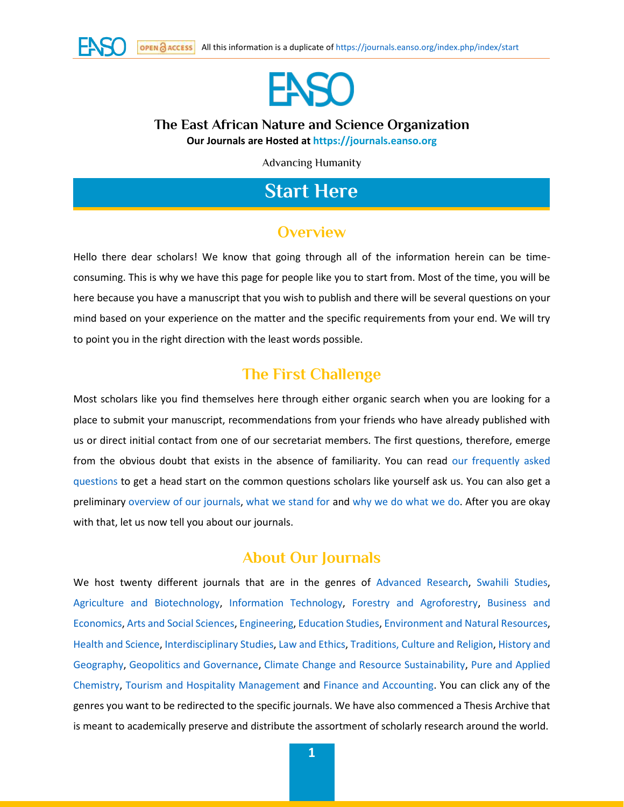



#### **The East African Nature and Science Organization Our Journals are Hosted at [https://journals.eanso.org](https://journals.eanso.org/)**

Advancing Humanity

## **Start Here**

### **Overview**

Hello there dear scholars! We know that going through all of the information herein can be timeconsuming. This is why we have this page for people like you to start from. Most of the time, you will be here because you have a manuscript that you wish to publish and there will be several questions on your mind based on your experience on the matter and the specific requirements from your end. We will try to point you in the right direction with the least words possible.

### **The First Challenge**

Most scholars like you find themselves here through either organic search when you are looking for a place to submit your manuscript, recommendations from your friends who have already published with us or direct initial contact from one of our secretariat members. The first questions, therefore, emerge from the obvious doubt that exists in the absence of familiarity. You can read [our frequently asked](https://journals.eanso.org/index.php/index/faq)  [questions](https://journals.eanso.org/index.php/index/faq) to get a head start on the common questions scholars like yourself ask us. You can also get a preliminary [overview of our journals,](https://journals.eanso.org/) [what we stand for](https://journals.eanso.org/index.php/index/about-journals) and [why we do what we do.](https://journals.eanso.org/index.php/index/about-journals) After you are okay with that, let us now tell you about our journals.

### **About Our Journals**

We host twenty different journals that are in the genres of [Advanced Research,](https://doi.org/10.37284/2707-7810) [Swahili Studies,](https://doi.org/10.37284/2707-3475) [Agriculture and Biotechnology,](https://doi.org/10.37284/2707-4307) [Information Technology,](https://doi.org/10.37284/2707-5354) [Forestry and Agroforestry,](https://doi.org/10.37284/2707-4323) [Business and](https://doi.org/10.37284/2707-4269)  [Economics,](https://doi.org/10.37284/2707-4269) [Arts and Social](https://doi.org/10.37284/2707-4285) Sciences, [Engineering,](https://doi.org/10.37284/2707-5397) [Education Studies,](https://doi.org/10.37284/2707-3947) [Environment and Natural Resources,](https://doi.org/10.37284/2707-4242) [Health and Science,](https://doi.org/10.37284/2707-3920) [Interdisciplinary Studies,](https://doi.org/10.37284/2707-5303) [Law and Ethics,](https://doi.org/10.37284/2707-5338) [Traditions, Culture and Religion,](https://doi.org/10.37284/2707-5370) [History and](https://doi.org/10.37284/2790-7597)  [Geography,](https://doi.org/10.37284/2790-7597) [Geopolitics and Governance,](https://doi.org/10.37284/2790-9557) [Climate Change and Resource Sustainability,](https://doi.org/10.37284/2790-9638) [Pure and Applied](https://doi.org/10.37284/2790-9573)  [Chemistry,](https://doi.org/10.37284/2790-9573) [Tourism and Hospitality Management](https://doi.org/10.37284/2790-9611) and [Finance and Accounting.](https://doi.org/10.37284/2790-959X) You can click any of the genres you want to be redirected to the specific journals. We have also commenced a Thesis Archive that is meant to academically preserve and distribute the assortment of scholarly research around the world.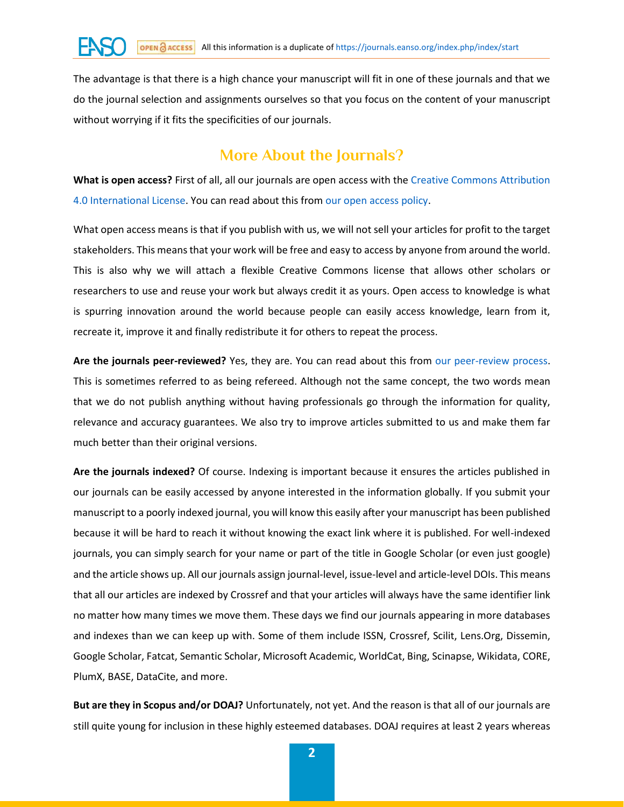The advantage is that there is a high chance your manuscript will fit in one of these journals and that we do the journal selection and assignments ourselves so that you focus on the content of your manuscript without worrying if it fits the specificities of our journals.

### **More About the Journals?**

**What is open access?** First of all, all our journals are open access with the [Creative Commons Attribution](http://creativecommons.org/licenses/by/4.0/)  [4.0 International License.](http://creativecommons.org/licenses/by/4.0/) You can read about this from [our open access policy.](https://journals.eanso.org/index.php/index/open-access)

What open access means is that if you publish with us, we will not sell your articles for profit to the target stakeholders. This means that your work will be free and easy to access by anyone from around the world. This is also why we will attach a flexible Creative Commons license that allows other scholars or researchers to use and reuse your work but always credit it as yours. Open access to knowledge is what is spurring innovation around the world because people can easily access knowledge, learn from it, recreate it, improve it and finally redistribute it for others to repeat the process.

**Are the journals peer-reviewed?** Yes, they are. You can read about this from [our peer-review process.](https://journals.eanso.org/index.php/index/peer-review-process) This is sometimes referred to as being refereed. Although not the same concept, the two words mean that we do not publish anything without having professionals go through the information for quality, relevance and accuracy guarantees. We also try to improve articles submitted to us and make them far much better than their original versions.

**Are the journals indexed?** Of course. Indexing is important because it ensures the articles published in our journals can be easily accessed by anyone interested in the information globally. If you submit your manuscript to a poorly indexed journal, you will know this easily after your manuscript has been published because it will be hard to reach it without knowing the exact link where it is published. For well-indexed journals, you can simply search for your name or part of the title in Google Scholar (or even just google) and the article shows up. All our journals assign journal-level, issue-level and article-level DOIs. This means that all our articles are indexed by Crossref and that your articles will always have the same identifier link no matter how many times we move them. These days we find our journals appearing in more databases and indexes than we can keep up with. Some of them include ISSN, Crossref, Scilit, Lens.Org, Dissemin, Google Scholar, Fatcat, Semantic Scholar, Microsoft Academic, WorldCat, Bing, Scinapse, Wikidata, CORE, PlumX, BASE, DataCite, and more.

**But are they in Scopus and/or DOAJ?** Unfortunately, not yet. And the reason is that all of our journals are still quite young for inclusion in these highly esteemed databases. DOAJ requires at least 2 years whereas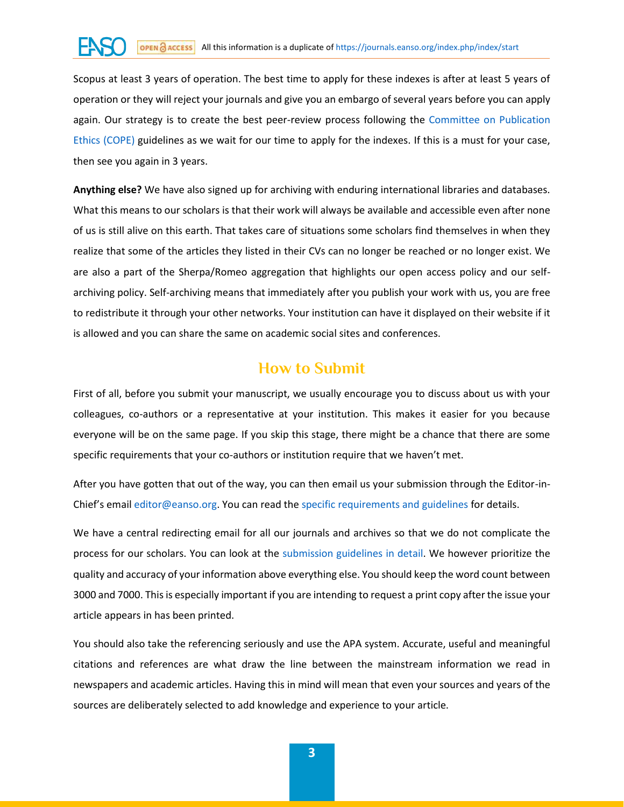# OPEN **Access** All this information is a duplicate o[f https://journals.eanso.org/index.php/index/start](https://journals.eanso.org/index.php/index/start)

Scopus at least 3 years of operation. The best time to apply for these indexes is after at least 5 years of operation or they will reject your journals and give you an embargo of several years before you can apply again. Our strategy is to create the best peer-review process following the [Committee on Publication](https://publicationethics.org/guidance/Guidelines)  [Ethics \(COPE\)](https://publicationethics.org/guidance/Guidelines) guidelines as we wait for our time to apply for the indexes. If this is a must for your case, then see you again in 3 years.

**Anything else?** We have also signed up for archiving with enduring international libraries and databases. What this means to our scholars is that their work will always be available and accessible even after none of us is still alive on this earth. That takes care of situations some scholars find themselves in when they realize that some of the articles they listed in their CVs can no longer be reached or no longer exist. We are also a part of the Sherpa/Romeo aggregation that highlights our open access policy and our selfarchiving policy. Self-archiving means that immediately after you publish your work with us, you are free to redistribute it through your other networks. Your institution can have it displayed on their website if it is allowed and you can share the same on academic social sites and conferences.

### **How to Submit**

First of all, before you submit your manuscript, we usually encourage you to discuss about us with your colleagues, co-authors or a representative at your institution. This makes it easier for you because everyone will be on the same page. If you skip this stage, there might be a chance that there are some specific requirements that your co-authors or institution require that we haven't met.

After you have gotten that out of the way, you can then email us your submission through the Editor-in-Chief's email [editor@eanso.org.](mailto:editor@eanso.org) You can read the [specific requirements and guidelines](https://journals.eanso.org/index.php/index/make-a-submission) for details.

We have a central redirecting email for all our journals and archives so that we do not complicate the process for our scholars. You can look at the [submission guidelines in detail.](https://journals.eanso.org/index.php/index/make-a-submission) We however prioritize the quality and accuracy of your information above everything else. You should keep the word count between 3000 and 7000. This is especially important if you are intending to request a print copy after the issue your article appears in has been printed.

You should also take the referencing seriously and use the APA system. Accurate, useful and meaningful citations and references are what draw the line between the mainstream information we read in newspapers and academic articles. Having this in mind will mean that even your sources and years of the sources are deliberately selected to add knowledge and experience to your article.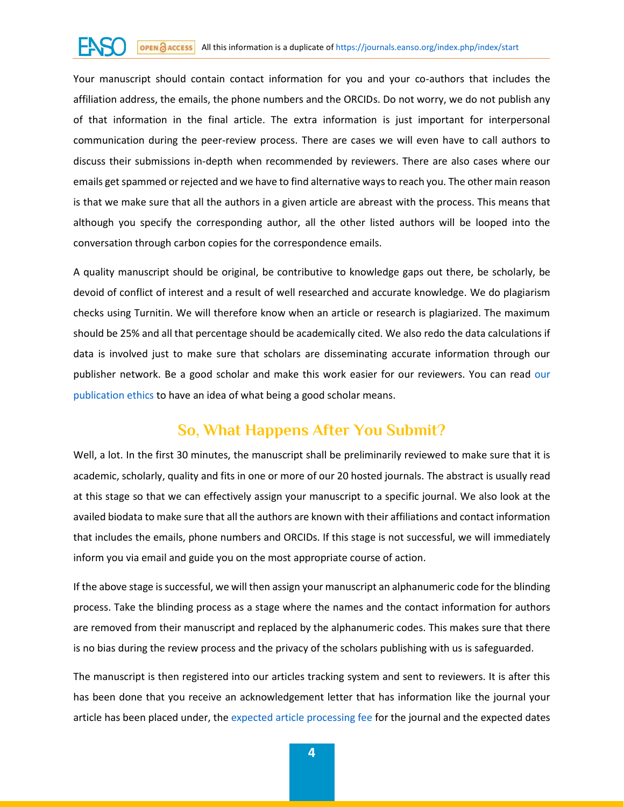Your manuscript should contain contact information for you and your co-authors that includes the affiliation address, the emails, the phone numbers and the ORCIDs. Do not worry, we do not publish any of that information in the final article. The extra information is just important for interpersonal communication during the peer-review process. There are cases we will even have to call authors to discuss their submissions in-depth when recommended by reviewers. There are also cases where our emails get spammed or rejected and we have to find alternative ways to reach you. The other main reason is that we make sure that all the authors in a given article are abreast with the process. This means that although you specify the corresponding author, all the other listed authors will be looped into the conversation through carbon copies for the correspondence emails.

A quality manuscript should be original, be contributive to knowledge gaps out there, be scholarly, be devoid of conflict of interest and a result of well researched and accurate knowledge. We do plagiarism checks using Turnitin. We will therefore know when an article or research is plagiarized. The maximum should be 25% and all that percentage should be academically cited. We also redo the data calculations if data is involved just to make sure that scholars are disseminating accurate information through our publisher network. Be a good scholar and make this work easier for [our](https://journals.eanso.org/index.php/index/ethics) reviewers. You can read our [publication ethics](https://journals.eanso.org/index.php/index/ethics) to have an idea of what being a good scholar means.

## **So, What Happens After You Submit?**

Well, a lot. In the first 30 minutes, the manuscript shall be preliminarily reviewed to make sure that it is academic, scholarly, quality and fits in one or more of our 20 hosted journals. The abstract is usually read at this stage so that we can effectively assign your manuscript to a specific journal. We also look at the availed biodata to make sure that all the authors are known with their affiliations and contact information that includes the emails, phone numbers and ORCIDs. If this stage is not successful, we will immediately inform you via email and guide you on the most appropriate course of action.

If the above stage is successful, we will then assign your manuscript an alphanumeric code for the blinding process. Take the blinding process as a stage where the names and the contact information for authors are removed from their manuscript and replaced by the alphanumeric codes. This makes sure that there is no bias during the review process and the privacy of the scholars publishing with us is safeguarded.

The manuscript is then registered into our articles tracking system and sent to reviewers. It is after this has been done that you receive an acknowledgement letter that has information like the journal your article has been placed under, the [expected article processing fee](https://journals.eanso.org/index.php/index/applicable-fee) for the journal and the expected dates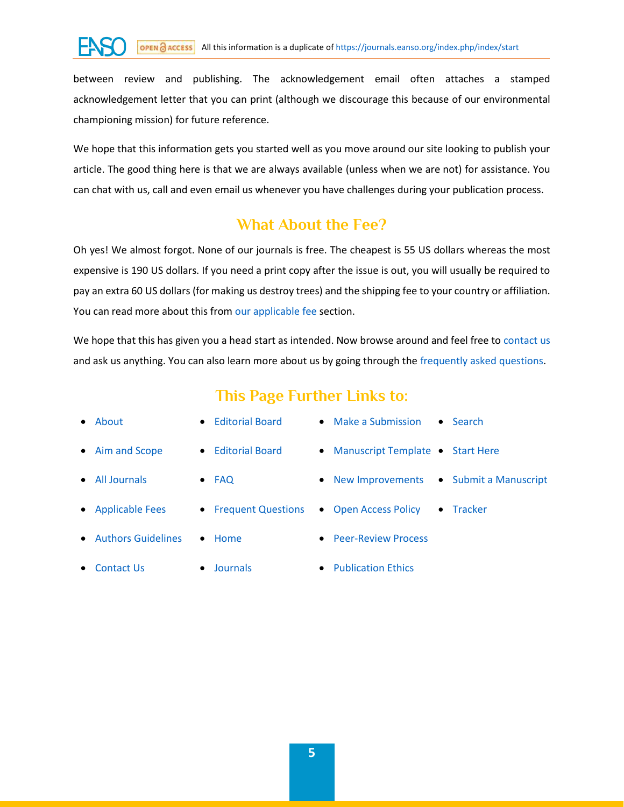between review and publishing. The acknowledgement email often attaches a stamped acknowledgement letter that you can print (although we discourage this because of our environmental championing mission) for future reference.

We hope that this information gets you started well as you move around our site looking to publish your article. The good thing here is that we are always available (unless when we are not) for assistance. You can chat with us, call and even email us whenever you have challenges during your publication process.

### **What About the Fee?**

Oh yes! We almost forgot. None of our journals is free. The cheapest is 55 US dollars whereas the most expensive is 190 US dollars. If you need a print copy after the issue is out, you will usually be required to pay an extra 60 US dollars (for making us destroy trees) and the shipping fee to your country or affiliation. You can read more about this fro[m our applicable fee](https://journals.eanso.org/index.php/index/applicable-fee) section.

We hope that this has given you a head start as intended. Now browse around and feel free to [contact us](https://journals.eanso.org/index.php/index/contact-us) and ask us anything. You can also learn more about us by going through the [frequently asked questions.](https://journals.eanso.org/index.php/index/faq)

## **This Page Further Links to:**

| $\bullet$ About      | • Editorial Board     | $\bullet$ Make a Submission<br>$\bullet$ Search |
|----------------------|-----------------------|-------------------------------------------------|
| • Aim and Scope      | • Editorial Board     | • Manuscript Template • Start Here              |
| • All Journals       | $\bullet$ FAQ         | • New Improvements • Submit a Manuscript        |
| • Applicable Fees    | • Frequent Questions  | Tracker<br>• Open Access Policy<br>$\bullet$    |
| • Authors Guidelines | $\bullet$ Home        | • Peer-Review Process                           |
| • Contact Us         | Journals<br>$\bullet$ | • Publication Ethics                            |
|                      |                       |                                                 |